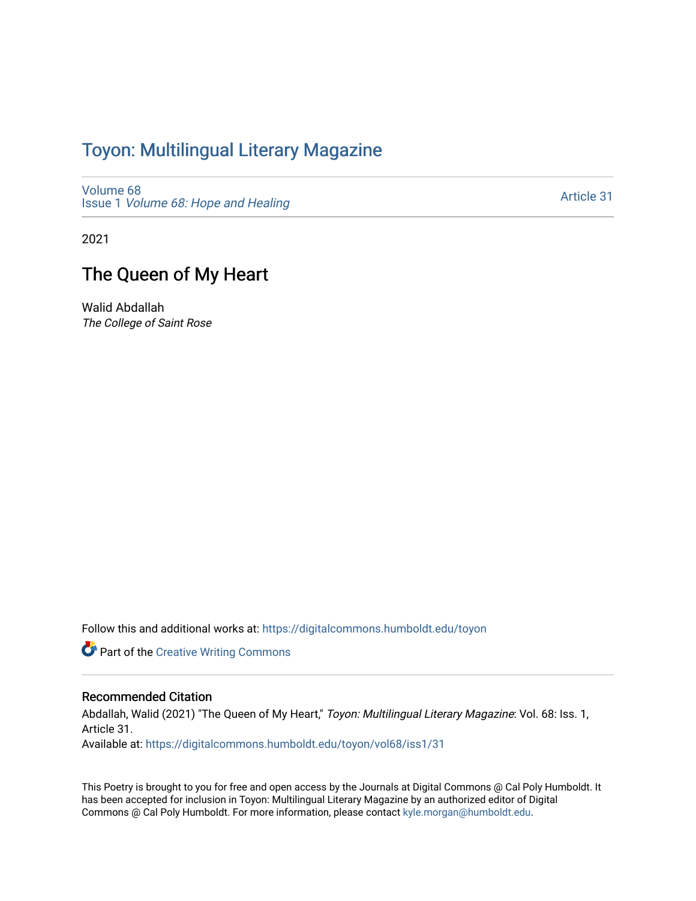## Toyon: Multilingual Literar[y](https://digitalcommons.humboldt.edu/toyon) Magazine

[Volume 68](https://digitalcommons.humboldt.edu/toyon/vol68) Issue 1 [Volume 68: Hope and Healing](https://digitalcommons.humboldt.edu/toyon/vol68/iss1) 

[Article 31](https://digitalcommons.humboldt.edu/toyon/vol68/iss1/31) 

2021

## The Queen of My Heart

Walid Abdallah The College of Saint Rose

Follow this and additional works at: [https://digitalcommons.humboldt.edu/toyon](https://digitalcommons.humboldt.edu/toyon?utm_source=digitalcommons.humboldt.edu%2Ftoyon%2Fvol68%2Fiss1%2F31&utm_medium=PDF&utm_campaign=PDFCoverPages)

**Part of the Creative Writing Commons** 

## Recommended Citation

Abdallah, Walid (2021) "The Queen of My Heart," Toyon: Multilingual Literary Magazine: Vol. 68: Iss. 1, Article 31.

Available at: [https://digitalcommons.humboldt.edu/toyon/vol68/iss1/31](https://digitalcommons.humboldt.edu/toyon/vol68/iss1/31?utm_source=digitalcommons.humboldt.edu%2Ftoyon%2Fvol68%2Fiss1%2F31&utm_medium=PDF&utm_campaign=PDFCoverPages) 

This Poetry is brought to you for free and open access by the Journals at Digital Commons @ Cal Poly Humboldt. It has been accepted for inclusion in Toyon: Multilingual Literary Magazine by an authorized editor of Digital Commons @ Cal Poly Humboldt. For more information, please contact [kyle.morgan@humboldt.edu](mailto:kyle.morgan@humboldt.edu).